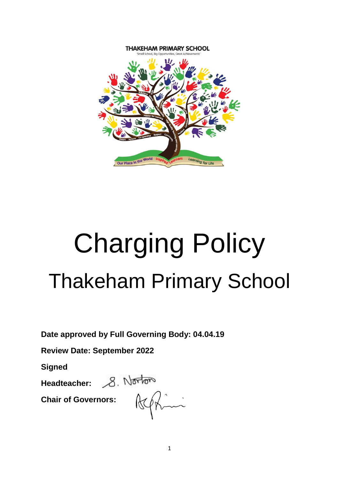

# Charging Policy Thakeham Primary School

**Date approved by Full Governing Body: 04.04.19**

**Review Date: September 2022**

**Signed**

Headteacher: 8. Norton

**Chair of Governors:**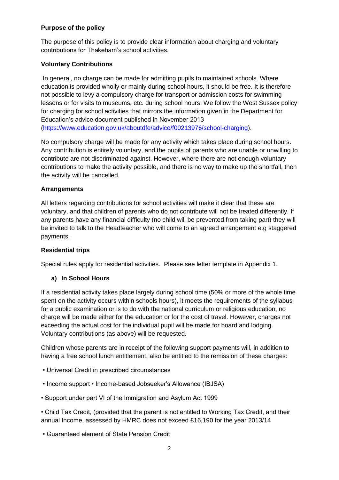# **Purpose of the policy**

The purpose of this policy is to provide clear information about charging and voluntary contributions for Thakeham's school activities.

## **Voluntary Contributions**

In general, no charge can be made for admitting pupils to maintained schools. Where education is provided wholly or mainly during school hours, it should be free. It is therefore not possible to levy a compulsory charge for transport or admission costs for swimming lessons or for visits to museums, etc. during school hours. We follow the West Sussex policy for charging for school activities that mirrors the information given in the Department for Education's advice document published in November 2013 [\(https://www.education.gov.uk/aboutdfe/advice/f00213976/school-charging\)](https://www.education.gov.uk/aboutdfe/advice/f00213976/school-charging).

No compulsory charge will be made for any activity which takes place during school hours. Any contribution is entirely voluntary, and the pupils of parents who are unable or unwilling to contribute are not discriminated against. However, where there are not enough voluntary contributions to make the activity possible, and there is no way to make up the shortfall, then the activity will be cancelled.

#### **Arrangements**

All letters regarding contributions for school activities will make it clear that these are voluntary, and that children of parents who do not contribute will not be treated differently. If any parents have any financial difficulty (no child will be prevented from taking part) they will be invited to talk to the Headteacher who will come to an agreed arrangement e.g staggered payments.

#### **Residential trips**

Special rules apply for residential activities. Please see letter template in Appendix 1.

#### **a) In School Hours**

If a residential activity takes place largely during school time (50% or more of the whole time spent on the activity occurs within schools hours), it meets the requirements of the syllabus for a public examination or is to do with the national curriculum or religious education, no charge will be made either for the education or for the cost of travel. However, charges not exceeding the actual cost for the individual pupil will be made for board and lodging. Voluntary contributions (as above) will be requested.

Children whose parents are in receipt of the following support payments will, in addition to having a free school lunch entitlement, also be entitled to the remission of these charges:

- Universal Credit in prescribed circumstances
- Income support Income-based Jobseeker's Allowance (IBJSA)
- Support under part VI of the Immigration and Asylum Act 1999

• Child Tax Credit, (provided that the parent is not entitled to Working Tax Credit, and their annual Income, assessed by HMRC does not exceed £16,190 for the year 2013/14

• Guaranteed element of State Pension Credit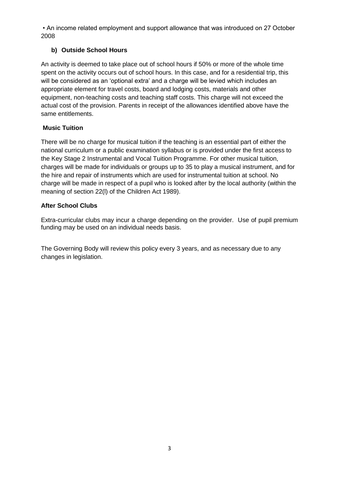• An income related employment and support allowance that was introduced on 27 October 2008

# **b) Outside School Hours**

An activity is deemed to take place out of school hours if 50% or more of the whole time spent on the activity occurs out of school hours. In this case, and for a residential trip, this will be considered as an 'optional extra' and a charge will be levied which includes an appropriate element for travel costs, board and lodging costs, materials and other equipment, non-teaching costs and teaching staff costs. This charge will not exceed the actual cost of the provision. Parents in receipt of the allowances identified above have the same entitlements.

# **Music Tuition**

There will be no charge for musical tuition if the teaching is an essential part of either the national curriculum or a public examination syllabus or is provided under the first access to the Key Stage 2 Instrumental and Vocal Tuition Programme. For other musical tuition, charges will be made for individuals or groups up to 35 to play a musical instrument, and for the hire and repair of instruments which are used for instrumental tuition at school. No charge will be made in respect of a pupil who is looked after by the local authority (within the meaning of section 22(l) of the Children Act 1989).

## **After School Clubs**

Extra-curricular clubs may incur a charge depending on the provider. Use of pupil premium funding may be used on an individual needs basis.

The Governing Body will review this policy every 3 years, and as necessary due to any changes in legislation.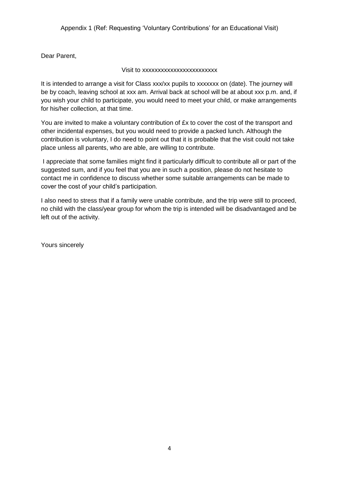Dear Parent,

#### Visit to xxxxxxxxxxxxxxxxxxxxxxxx

It is intended to arrange a visit for Class xxx/xx pupils to xxxxxxx on (date). The journey will be by coach, leaving school at xxx am. Arrival back at school will be at about xxx p.m. and, if you wish your child to participate, you would need to meet your child, or make arrangements for his/her collection, at that time.

You are invited to make a voluntary contribution of £x to cover the cost of the transport and other incidental expenses, but you would need to provide a packed lunch. Although the contribution is voluntary, I do need to point out that it is probable that the visit could not take place unless all parents, who are able, are willing to contribute.

I appreciate that some families might find it particularly difficult to contribute all or part of the suggested sum, and if you feel that you are in such a position, please do not hesitate to contact me in confidence to discuss whether some suitable arrangements can be made to cover the cost of your child's participation.

I also need to stress that if a family were unable contribute, and the trip were still to proceed, no child with the class/year group for whom the trip is intended will be disadvantaged and be left out of the activity.

Yours sincerely